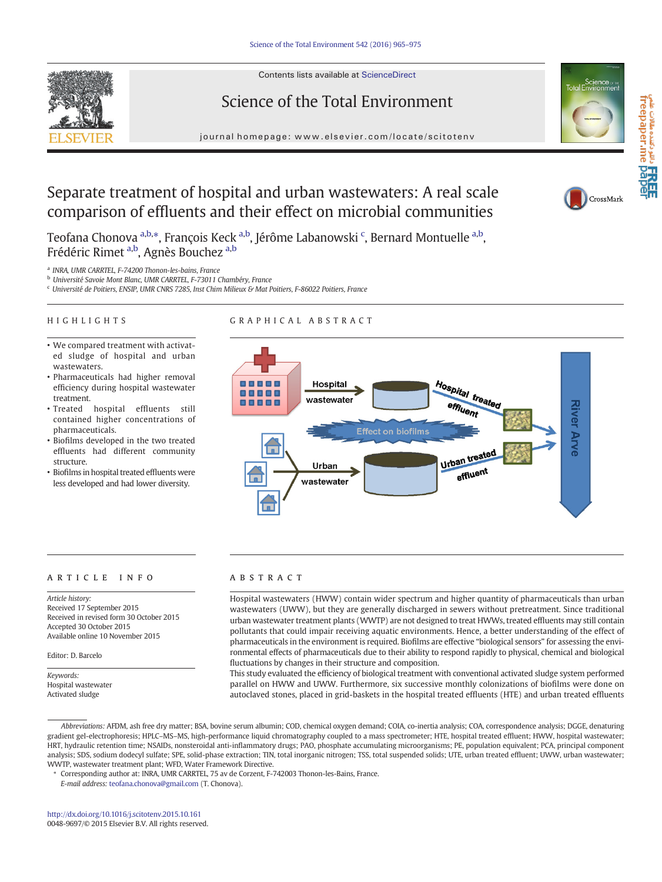Contents lists available at ScienceDirect

Science of the Total Environment



 $C$ rossMark

a تا**کام دانن** دهنده مقالات علم<br>freepaper.me **pape** 

# Separate treatment of hospital and urban wastewaters: A real scale comparison of effluents and their effect on microbial communities

Teofana Chonova <sup>a,b,</sup>\*, François Keck <sup>a,b</sup>, Jérôme Labanowski <sup>c</sup>, Bernard Montuelle <sup>a,b</sup>, Frédéric Rimet <sup>a,b</sup>, Agnès Bouchez <sup>a,b</sup>

<sup>a</sup> INRA, UMR CARRTEL, F-74200 Thonon-les-bains, France

<sup>b</sup> Université Savoie Mont Blanc, UMR CARRTEL, F-73011 Chambéry, France

<sup>c</sup> Université de Poitiers, ENSIP, UMR CNRS 7285, Inst Chim Milieux & Mat Poitiers, F-86022 Poitiers, France

#### HIGHLIGHTS

# GRAPHICAL ABSTRACT

- We compared treatment with activated sludge of hospital and urban wastewaters.
- Pharmaceuticals had higher removal efficiency during hospital wastewater treatment.
- Treated hospital effluents still contained higher concentrations of pharmaceuticals.
- Biofilms developed in the two treated effluents had different community structure.
- Biofilms in hospital treated effluents were less developed and had lower diversity.



#### article info abstract

Article history: Received 17 September 2015 Received in revised form 30 October 2015 Accepted 30 October 2015 Available online 10 November 2015

Editor: D. Barcelo

Keywords: Hospital wastewater Activated sludge

Hospital wastewaters (HWW) contain wider spectrum and higher quantity of pharmaceuticals than urban wastewaters (UWW), but they are generally discharged in sewers without pretreatment. Since traditional urban wastewater treatment plants (WWTP) are not designed to treat HWWs, treated effluents may still contain pollutants that could impair receiving aquatic environments. Hence, a better understanding of the effect of pharmaceuticals in the environment is required. Biofilms are effective "biological sensors" for assessing the environmental effects of pharmaceuticals due to their ability to respond rapidly to physical, chemical and biological fluctuations by changes in their structure and composition.

This study evaluated the efficiency of biological treatment with conventional activated sludge system performed parallel on HWW and UWW. Furthermore, six successive monthly colonizations of biofilms were done on autoclaved stones, placed in grid-baskets in the hospital treated effluents (HTE) and urban treated effluents

Abbreviations: AFDM, ash free dry matter; BSA, bovine serum albumin; COD, chemical oxygen demand; COIA, co-inertia analysis; COA, correspondence analysis; DGGE, denaturing gradient gel-electrophoresis; HPLC–MS–MS, high-performance liquid chromatography coupled to a mass spectrometer; HTE, hospital treated effluent; HWW, hospital wastewater; HRT, hydraulic retention time; NSAIDs, nonsteroidal anti-inflammatory drugs; PAO, phosphate accumulating microorganisms; PE, population equivalent; PCA, principal component analysis; SDS, sodium dodecyl sulfate; SPE, solid-phase extraction; TIN, total inorganic nitrogen; TSS, total suspended solids; UTE, urban treated effluent; UWW, urban wastewater; WWTP, wastewater treatment plant; WFD, Water Framework Directive.

⁎ Corresponding author at: INRA, UMR CARRTEL, 75 av de Corzent, F-742003 Thonon-les-Bains, France.

E-mail address: [teofana.chonova@gmail.com](mailto:teofana.chonova@gmail.com) (T. Chonova).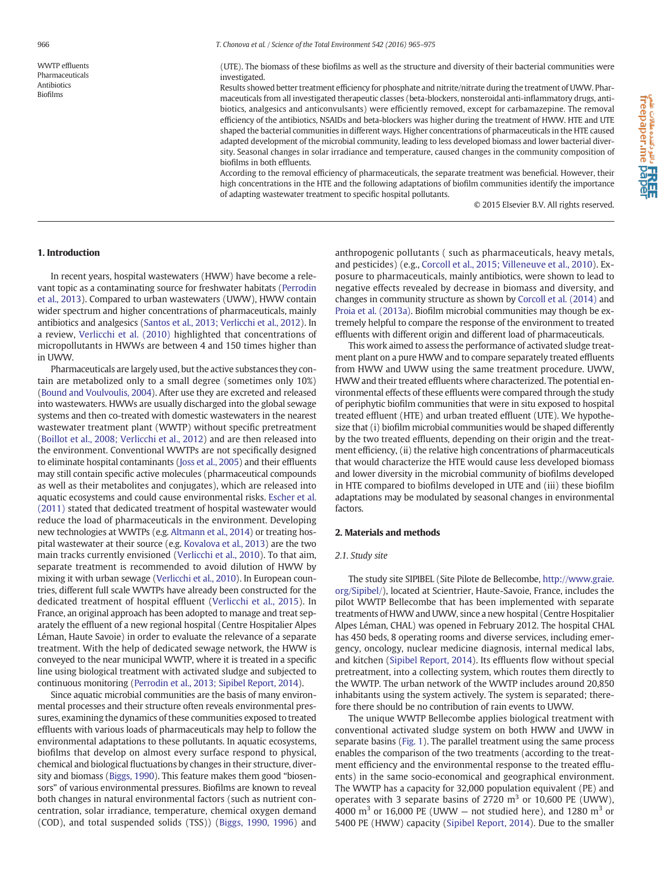WWTP effluents Pharmaceuticals Antibiotics Biofilms

(UTE). The biomass of these biofilms as well as the structure and diversity of their bacterial communities were investigated.

Results showed better treatment efficiency for phosphate and nitrite/nitrate during the treatment of UWW. Pharmaceuticals from all investigated therapeutic classes (beta-blockers, nonsteroidal anti-inflammatory drugs, antibiotics, analgesics and anticonvulsants) were efficiently removed, except for carbamazepine. The removal efficiency of the antibiotics, NSAIDs and beta-blockers was higher during the treatment of HWW. HTE and UTE shaped the bacterial communities in different ways. Higher concentrations of pharmaceuticals in the HTE caused adapted development of the microbial community, leading to less developed biomass and lower bacterial diversity. Seasonal changes in solar irradiance and temperature, caused changes in the community composition of biofilms in both effluents.

According to the removal efficiency of pharmaceuticals, the separate treatment was beneficial. However, their high concentrations in the HTE and the following adaptations of biofilm communities identify the importance of adapting wastewater treatment to specific hospital pollutants.

© 2015 Elsevier B.V. All rights reserved.

#### 1. Introduction

In recent years, hospital wastewaters (HWW) have become a relevant topic as a contaminating source for freshwater habitats ([Perrodin](#page-9-0) [et al., 2013](#page-9-0)). Compared to urban wastewaters (UWW), HWW contain wider spectrum and higher concentrations of pharmaceuticals, mainly antibiotics and analgesics ([Santos et al., 2013; Verlicchi et al., 2012](#page-9-0)). In a review, [Verlicchi et al. \(2010\)](#page-10-0) highlighted that concentrations of micropollutants in HWWs are between 4 and 150 times higher than in UWW.

Pharmaceuticals are largely used, but the active substances they contain are metabolized only to a small degree (sometimes only 10%) [\(Bound and Voulvoulis, 2004](#page-9-0)). After use they are excreted and released into wastewaters. HWWs are usually discharged into the global sewage systems and then co-treated with domestic wastewaters in the nearest wastewater treatment plant (WWTP) without specific pretreatment [\(Boillot et al., 2008; Verlicchi et al., 2012\)](#page-9-0) and are then released into the environment. Conventional WWTPs are not specifically designed to eliminate hospital contaminants ([Joss et al., 2005\)](#page-9-0) and their effluents may still contain specific active molecules (pharmaceutical compounds as well as their metabolites and conjugates), which are released into aquatic ecosystems and could cause environmental risks. [Escher et al.](#page-9-0) [\(2011\)](#page-9-0) stated that dedicated treatment of hospital wastewater would reduce the load of pharmaceuticals in the environment. Developing new technologies at WWTPs (e.g. [Altmann et al., 2014\)](#page-9-0) or treating hospital wastewater at their source (e.g. [Kovalova et al., 2013](#page-9-0)) are the two main tracks currently envisioned ([Verlicchi et al., 2010\)](#page-10-0). To that aim, separate treatment is recommended to avoid dilution of HWW by mixing it with urban sewage ([Verlicchi et al., 2010](#page-10-0)). In European countries, different full scale WWTPs have already been constructed for the dedicated treatment of hospital effluent [\(Verlicchi et al., 2015\)](#page-10-0). In France, an original approach has been adopted to manage and treat separately the effluent of a new regional hospital (Centre Hospitalier Alpes Léman, Haute Savoie) in order to evaluate the relevance of a separate treatment. With the help of dedicated sewage network, the HWW is conveyed to the near municipal WWTP, where it is treated in a specific line using biological treatment with activated sludge and subjected to continuous monitoring ([Perrodin et al., 2013; Sipibel Report, 2014](#page-9-0)).

Since aquatic microbial communities are the basis of many environmental processes and their structure often reveals environmental pressures, examining the dynamics of these communities exposed to treated effluents with various loads of pharmaceuticals may help to follow the environmental adaptations to these pollutants. In aquatic ecosystems, biofilms that develop on almost every surface respond to physical, chemical and biological fluctuations by changes in their structure, diversity and biomass [\(Biggs, 1990\)](#page-9-0). This feature makes them good "biosensors" of various environmental pressures. Biofilms are known to reveal both changes in natural environmental factors (such as nutrient concentration, solar irradiance, temperature, chemical oxygen demand (COD), and total suspended solids (TSS)) [\(Biggs, 1990, 1996](#page-9-0)) and anthropogenic pollutants ( such as pharmaceuticals, heavy metals, and pesticides) (e.g., [Corcoll et al., 2015; Villeneuve et al., 2010](#page-9-0)). Exposure to pharmaceuticals, mainly antibiotics, were shown to lead to negative effects revealed by decrease in biomass and diversity, and changes in community structure as shown by [Corcoll et al. \(2014\)](#page-9-0) and [Proia et al. \(2013a\).](#page-9-0) Biofilm microbial communities may though be extremely helpful to compare the response of the environment to treated effluents with different origin and different load of pharmaceuticals.

This work aimed to assess the performance of activated sludge treatment plant on a pure HWW and to compare separately treated effluents from HWW and UWW using the same treatment procedure. UWW, HWW and their treated effluents where characterized. The potential environmental effects of these effluents were compared through the study of periphytic biofilm communities that were in situ exposed to hospital treated effluent (HTE) and urban treated effluent (UTE). We hypothesize that (i) biofilm microbial communities would be shaped differently by the two treated effluents, depending on their origin and the treatment efficiency, (ii) the relative high concentrations of pharmaceuticals that would characterize the HTE would cause less developed biomass and lower diversity in the microbial community of biofilms developed in HTE compared to biofilms developed in UTE and (iii) these biofilm adaptations may be modulated by seasonal changes in environmental factors.

#### 2. Materials and methods

#### 2.1. Study site

The study site SIPIBEL (Site Pilote de Bellecombe, [http://www.graie.](http://www.graie.org/Sipibel/) [org/Sipibel/\)](http://www.graie.org/Sipibel/), located at Scientrier, Haute-Savoie, France, includes the pilot WWTP Bellecombe that has been implemented with separate treatments of HWW and UWW, since a new hospital (Centre Hospitalier Alpes Léman, CHAL) was opened in February 2012. The hospital CHAL has 450 beds, 8 operating rooms and diverse services, including emergency, oncology, nuclear medicine diagnosis, internal medical labs, and kitchen ([Sipibel Report, 2014\)](#page-10-0). Its effluents flow without special pretreatment, into a collecting system, which routes them directly to the WWTP. The urban network of the WWTP includes around 20,850 inhabitants using the system actively. The system is separated; therefore there should be no contribution of rain events to UWW.

The unique WWTP Bellecombe applies biological treatment with conventional activated sludge system on both HWW and UWW in separate basins ([Fig. 1\)](#page-2-0). The parallel treatment using the same process enables the comparison of the two treatments (according to the treatment efficiency and the environmental response to the treated effluents) in the same socio-economical and geographical environment. The WWTP has a capacity for 32,000 population equivalent (PE) and operates with 3 separate basins of 2720  $m<sup>3</sup>$  or 10,600 PE (UWW), 4000  $\text{m}^3$  or 16,000 PE (UWW – not studied here), and 1280  $\text{m}^3$  or 5400 PE (HWW) capacity [\(Sipibel Report, 2014\)](#page-10-0). Due to the smaller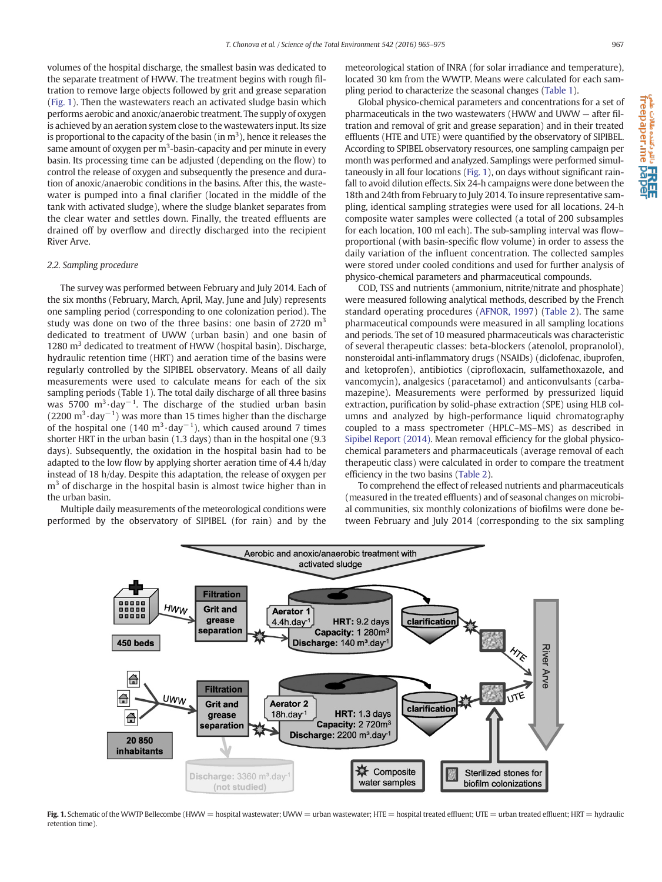<span id="page-2-0"></span>volumes of the hospital discharge, the smallest basin was dedicated to the separate treatment of HWW. The treatment begins with rough filtration to remove large objects followed by grit and grease separation (Fig. 1). Then the wastewaters reach an activated sludge basin which performs aerobic and anoxic/anaerobic treatment. The supply of oxygen is achieved by an aeration system close to the wastewaters input. Its size is proportional to the capacity of the basin (in  $m^3$ ), hence it releases the same amount of oxygen per  $\mathrm{m}^3$ -basin-capacity and per minute in every basin. Its processing time can be adjusted (depending on the flow) to control the release of oxygen and subsequently the presence and duration of anoxic/anaerobic conditions in the basins. After this, the wastewater is pumped into a final clarifier (located in the middle of the tank with activated sludge), where the sludge blanket separates from the clear water and settles down. Finally, the treated effluents are drained off by overflow and directly discharged into the recipient River Arve.

#### 2.2. Sampling procedure

The survey was performed between February and July 2014. Each of the six months (February, March, April, May, June and July) represents one sampling period (corresponding to one colonization period). The study was done on two of the three basins: one basin of 2720  $m<sup>3</sup>$ dedicated to treatment of UWW (urban basin) and one basin of 1280  $m<sup>3</sup>$  dedicated to treatment of HWW (hospital basin). Discharge, hydraulic retention time (HRT) and aeration time of the basins were regularly controlled by the SIPIBEL observatory. Means of all daily measurements were used to calculate means for each of the six sampling periods (Table 1). The total daily discharge of all three basins was 5700 m<sup>3</sup>·day<sup>-1</sup>. The discharge of the studied urban basin  $(2200 \text{ m}^3 \cdot \text{day}^{-1})$  was more than 15 times higher than the discharge of the hospital one (140 m<sup>3</sup>·day<sup>-1</sup>), which caused around 7 times shorter HRT in the urban basin (1.3 days) than in the hospital one (9.3 days). Subsequently, the oxidation in the hospital basin had to be adapted to the low flow by applying shorter aeration time of 4.4 h/day instead of 18 h/day. Despite this adaptation, the release of oxygen per  $m<sup>3</sup>$  of discharge in the hospital basin is almost twice higher than in the urban basin.

Multiple daily measurements of the meteorological conditions were performed by the observatory of SIPIBEL (for rain) and by the meteorological station of INRA (for solar irradiance and temperature), located 30 km from the WWTP. Means were calculated for each sampling period to characterize the seasonal changes [\(Table 1\)](#page-3-0).

Global physico-chemical parameters and concentrations for a set of pharmaceuticals in the two wastewaters (HWW and UWW — after filtration and removal of grit and grease separation) and in their treated effluents (HTE and UTE) were quantified by the observatory of SIPIBEL. According to SPIBEL observatory resources, one sampling campaign per month was performed and analyzed. Samplings were performed simultaneously in all four locations (Fig. 1), on days without significant rainfall to avoid dilution effects. Six 24-h campaigns were done between the 18th and 24th from February to July 2014. To insure representative sampling, identical sampling strategies were used for all locations. 24-h composite water samples were collected (a total of 200 subsamples for each location, 100 ml each). The sub-sampling interval was flow– proportional (with basin-specific flow volume) in order to assess the daily variation of the influent concentration. The collected samples were stored under cooled conditions and used for further analysis of physico-chemical parameters and pharmaceutical compounds.

COD, TSS and nutrients (ammonium, nitrite/nitrate and phosphate) were measured following analytical methods, described by the French standard operating procedures ([AFNOR, 1997\)](#page-9-0) ([Table 2\)](#page-3-0). The same pharmaceutical compounds were measured in all sampling locations and periods. The set of 10 measured pharmaceuticals was characteristic of several therapeutic classes: beta-blockers (atenolol, propranolol), nonsteroidal anti-inflammatory drugs (NSAIDs) (diclofenac, ibuprofen, and ketoprofen), antibiotics (ciprofloxacin, sulfamethoxazole, and vancomycin), analgesics (paracetamol) and anticonvulsants (carbamazepine). Measurements were performed by pressurized liquid extraction, purification by solid-phase extraction (SPE) using HLB columns and analyzed by high-performance liquid chromatography coupled to a mass spectrometer (HPLC–MS–MS) as described in [Sipibel Report \(2014\).](#page-10-0) Mean removal efficiency for the global physicochemical parameters and pharmaceuticals (average removal of each therapeutic class) were calculated in order to compare the treatment efficiency in the two basins ([Table 2](#page-3-0)).

To comprehend the effect of released nutrients and pharmaceuticals (measured in the treated effluents) and of seasonal changes on microbial communities, six monthly colonizations of biofilms were done between February and July 2014 (corresponding to the six sampling



Fig. 1. Schematic of the WWTP Bellecombe (HWW = hospital wastewater; UWW = urban wastewater; HTE = hospital treated effluent; UTE = urban treated effluent; HRT = hydraulic retention time).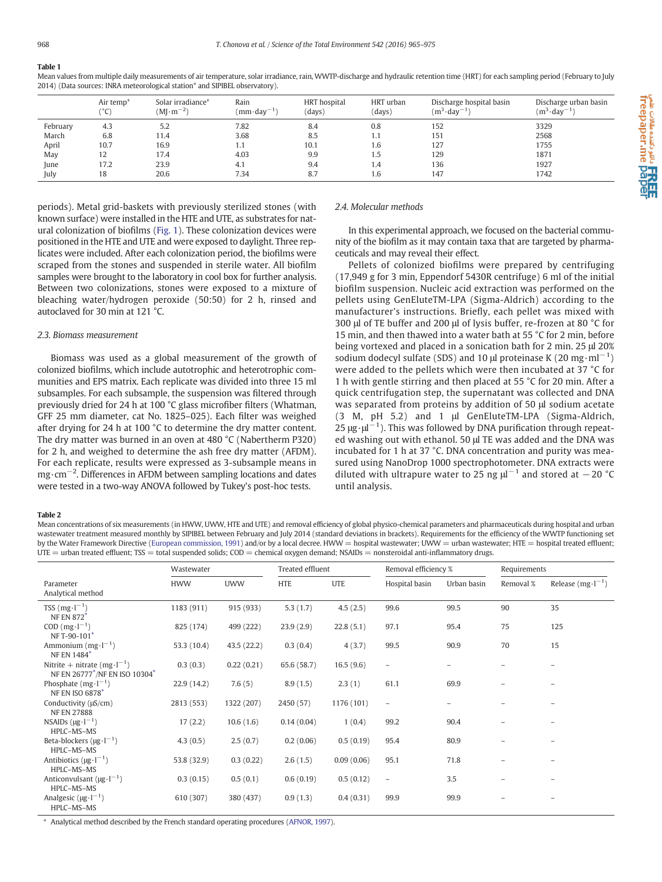# <span id="page-3-0"></span>Table 1

Mean values from multiple daily measurements of air temperature, solar irradiance, rain, WWTP-discharge and hydraulic retention time (HRT) for each sampling period (February to July 2014) (Data sources: INRA meteorological station\* and SIPIBEL observatory).

|          | Air temp <sup>*</sup><br>(0)<br>L. | Solar irradiance*<br>$(M\cdot m^{-2})$ | Rain<br>$(mm \cdot \text{day}^{-1})$ | HRT hospital<br>(days) | HRT urban<br>(days) | Discharge hospital basin<br>$(m^3 \cdot \text{day}^{-1})$ | Discharge urban basin<br>$(m^3 \cdot \text{day}^{-1})$ |
|----------|------------------------------------|----------------------------------------|--------------------------------------|------------------------|---------------------|-----------------------------------------------------------|--------------------------------------------------------|
| February | 4.3                                | 5.2                                    | 7.82                                 | 8.4                    | 0.8                 | 152                                                       | 3329                                                   |
| March    | 6.8                                | 11.4                                   | 3.68                                 | 8.5                    |                     | 151                                                       | 2568                                                   |
| April    | 10.7                               | 16.9                                   | 1.1                                  | 10.1                   | 1.6                 | 127                                                       | 1755                                                   |
| May      | 12                                 | 17.4                                   | 4.03                                 | 9.9                    | 1.5                 | 129                                                       | 1871                                                   |
| June     | 17.2                               | 23.9                                   | 4.1                                  | 9.4                    | 1.4                 | 136                                                       | 1927                                                   |
| July     | 18                                 | 20.6                                   | 7.34                                 | 8.7                    | 1.6                 | 147                                                       | 1742                                                   |

periods). Metal grid-baskets with previously sterilized stones (with known surface) were installed in the HTE and UTE, as substrates for natural colonization of biofilms [\(Fig. 1](#page-2-0)). These colonization devices were positioned in the HTE and UTE and were exposed to daylight. Three replicates were included. After each colonization period, the biofilms were scraped from the stones and suspended in sterile water. All biofilm samples were brought to the laboratory in cool box for further analysis. Between two colonizations, stones were exposed to a mixture of bleaching water/hydrogen peroxide (50:50) for 2 h, rinsed and autoclaved for 30 min at 121 °C.

#### 2.3. Biomass measurement

Biomass was used as a global measurement of the growth of colonized biofilms, which include autotrophic and heterotrophic communities and EPS matrix. Each replicate was divided into three 15 ml subsamples. For each subsample, the suspension was filtered through previously dried for 24 h at 100 °C glass microfiber filters (Whatman, GFF 25 mm diameter, cat No. 1825–025). Each filter was weighed after drying for 24 h at 100 °C to determine the dry matter content. The dry matter was burned in an oven at 480 °C (Nabertherm P320) for 2 h, and weighed to determine the ash free dry matter (AFDM). For each replicate, results were expressed as 3-subsample means in mg⋅cm<sup>-2</sup>. Differences in AFDM between sampling locations and dates were tested in a two-way ANOVA followed by Tukey's post-hoc tests.

# 2.4. Molecular methods

In this experimental approach, we focused on the bacterial community of the biofilm as it may contain taxa that are targeted by pharmaceuticals and may reveal their effect.

Pellets of colonized biofilms were prepared by centrifuging (17,949 g for 3 min, Eppendorf 5430R centrifuge) 6 ml of the initial biofilm suspension. Nucleic acid extraction was performed on the pellets using GenEluteTM-LPA (Sigma-Aldrich) according to the manufacturer's instructions. Briefly, each pellet was mixed with 300 μl of TE buffer and 200 μl of lysis buffer, re-frozen at 80 °C for 15 min, and then thawed into a water bath at 55 °C for 2 min, before being vortexed and placed in a sonication bath for 2 min. 25 μl 20% sodium dodecyl sulfate (SDS) and 10  $\mu$ l proteinase K (20 mg·ml<sup>-1</sup>) were added to the pellets which were then incubated at 37 °C for 1 h with gentle stirring and then placed at 55 °C for 20 min. After a quick centrifugation step, the supernatant was collected and DNA was separated from proteins by addition of 50 μl sodium acetate (3 M, pH 5.2) and 1 μl GenEluteTM-LPA (Sigma-Aldrich, 25  $\mu$ g· $\mu$ <sup>-1</sup>). This was followed by DNA purification through repeated washing out with ethanol. 50 μl TE was added and the DNA was incubated for 1 h at 37 °C. DNA concentration and purity was measured using NanoDrop 1000 spectrophotometer. DNA extracts were diluted with ultrapure water to 25 ng  $\mu$ <sup>-1</sup> and stored at -20 °C until analysis.

#### Table 2

Mean concentrations of six measurements (in HWW, UWW, HTE and UTE) and removal efficiency of global physico-chemical parameters and pharmaceuticals during hospital and urban wastewater treatment measured monthly by SIPIBEL between February and July 2014 (standard deviations in brackets). Requirements for the efficiency of the WWTP functioning set by the Water Framework Directive [\(European commission, 1991](#page-9-0)) and/or by a local decree. HWW = hospital wastewater; UWW = urban wastewater; HTE = hospital treated effluent;  $UTE =$  urban treated effluent; TSS = total suspended solids;  $COD =$  chemical oxygen demand; NSAIDs = nonsteroidal anti-inflammatory drugs.

|                                                                        | Wastewater  |             | Treated effluent |            | Removal efficiency %     |             | Requirements |                       |
|------------------------------------------------------------------------|-------------|-------------|------------------|------------|--------------------------|-------------|--------------|-----------------------|
| Parameter<br>Analytical method                                         | <b>HWW</b>  | <b>UWW</b>  | <b>HTE</b>       | <b>UTE</b> | Hospital basin           | Urban basin | Removal %    | Release $(mg·l^{-1})$ |
| TSS $(mg·l^{-1})$<br><b>NF EN 872*</b>                                 | 1183 (911)  | 915 (933)   | 5.3(1.7)         | 4.5(2.5)   | 99.6                     | 99.5        | 90           | 35                    |
| COD $(mg·l^{-1})$<br>NF T-90-101                                       | 825 (174)   | 499 (222)   | 23.9(2.9)        | 22.8(5.1)  | 97.1                     | 95.4        | 75           | 125                   |
| Ammonium $(mg·l^{-1})$<br>NF EN 1484*                                  | 53.3 (10.4) | 43.5 (22.2) | 0.3(0.4)         | 4(3.7)     | 99.5                     | 90.9        | 70           | 15                    |
| Nitrite + nitrate $(mg \cdot l^{-1})$<br>NF EN 26777*/NF EN ISO 10304* | 0.3(0.3)    | 0.22(0.21)  | 65.6 (58.7)      | 16.5(9.6)  | $\overline{\phantom{0}}$ | -           |              |                       |
| Phosphate $(mg \cdot l^{-1})$<br>NF EN ISO 6878*                       | 22.9(14.2)  | 7.6(5)      | 8.9(1.5)         | 2.3(1)     | 61.1                     | 69.9        |              |                       |
| Conductivity (µS/cm)<br><b>NF EN 27888</b>                             | 2813 (553)  | 1322 (207)  | 2450 (57)        | 1176 (101) | $\overline{\phantom{a}}$ |             |              |                       |
| NSAIDs $(\mu g \cdot l^{-1})$<br>HPLC-MS-MS                            | 17(2.2)     | 10.6(1.6)   | 0.14(0.04)       | 1(0.4)     | 99.2                     | 90.4        |              |                       |
| Beta-blockers $(\mu g \cdot l^{-1})$<br>HPLC-MS-MS                     | 4.3(0.5)    | 2.5(0.7)    | 0.2(0.06)        | 0.5(0.19)  | 95.4                     | 80.9        |              |                       |
| Antibiotics ( $\mu$ g·l <sup>-1</sup> )<br>HPLC-MS-MS                  | 53.8 (32.9) | 0.3(0.22)   | 2.6(1.5)         | 0.09(0.06) | 95.1                     | 71.8        |              |                       |
| Anticonvulsant ( $\mu$ g·l <sup>-1</sup> )<br>HPLC-MS-MS               | 0.3(0.15)   | 0.5(0.1)    | 0.6(0.19)        | 0.5(0.12)  | $\overline{\phantom{a}}$ | 3.5         |              |                       |
| Analgesic ( $\mu$ g·l <sup>-1</sup> )<br>HPLC-MS-MS                    | 610 (307)   | 380 (437)   | 0.9(1.3)         | 0.4(0.31)  | 99.9                     | 99.9        |              |                       |

Analytical method described by the French standard operating procedures [\(AFNOR, 1997](#page-9-0)).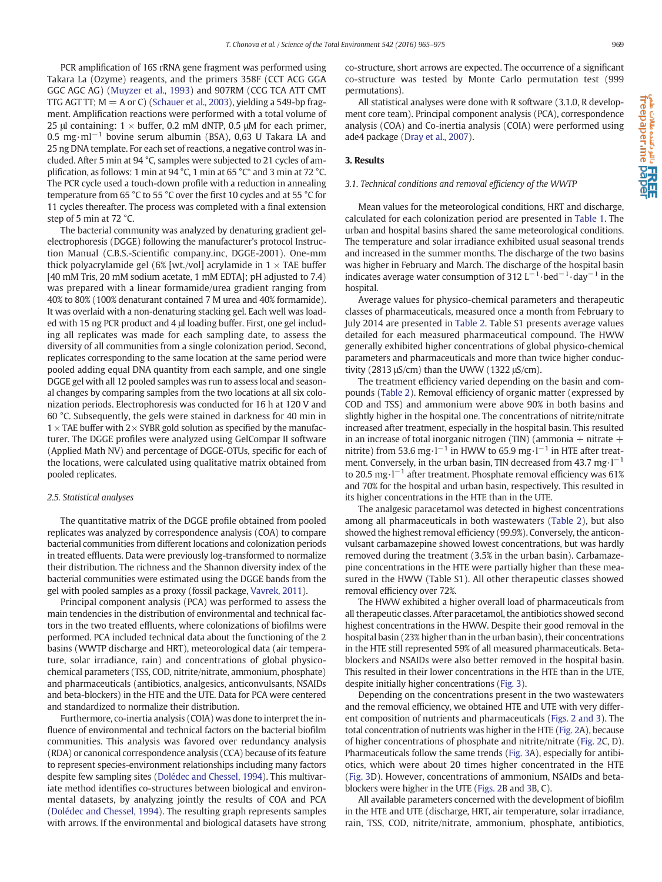PCR amplification of 16S rRNA gene fragment was performed using Takara La (Ozyme) reagents, and the primers 358F (CCT ACG GGA GGC AGC AG) ([Muyzer et al., 1993](#page-9-0)) and 907RM (CCG TCA ATT CMT TTG AGT TT;  $M = A$  or C) [\(Schauer et al., 2003\)](#page-9-0), yielding a 549-bp fragment. Amplification reactions were performed with a total volume of 25 μl containing:  $1 \times$  buffer, 0.2 mM dNTP, 0.5 μM for each primer, 0.5 mg·ml−<sup>1</sup> bovine serum albumin (BSA), 0,63 U Takara LA and 25 ng DNA template. For each set of reactions, a negative control was included. After 5 min at 94 °C, samples were subjected to 21 cycles of amplification, as follows: 1 min at 94 °C, 1 min at 65 °C\* and 3 min at 72 °C. The PCR cycle used a touch-down profile with a reduction in annealing temperature from 65 °C to 55 °C over the first 10 cycles and at 55 °C for 11 cycles thereafter. The process was completed with a final extension step of 5 min at 72 °C.

The bacterial community was analyzed by denaturing gradient gelelectrophoresis (DGGE) following the manufacturer's protocol Instruction Manual (C.B.S.-Scientific company.inc, DGGE-2001). One-mm thick polyacrylamide gel (6% [wt./vol] acrylamide in  $1 \times$  TAE buffer [40 mM Tris, 20 mM sodium acetate, 1 mM EDTA]; pH adjusted to 7.4) was prepared with a linear formamide/urea gradient ranging from 40% to 80% (100% denaturant contained 7 M urea and 40% formamide). It was overlaid with a non-denaturing stacking gel. Each well was loaded with 15 ng PCR product and 4 μl loading buffer. First, one gel including all replicates was made for each sampling date, to assess the diversity of all communities from a single colonization period. Second, replicates corresponding to the same location at the same period were pooled adding equal DNA quantity from each sample, and one single DGGE gel with all 12 pooled samples was run to assess local and seasonal changes by comparing samples from the two locations at all six colonization periods. Electrophoresis was conducted for 16 h at 120 V and 60 °C. Subsequently, the gels were stained in darkness for 40 min in  $1 \times$  TAE buffer with  $2 \times$  SYBR gold solution as specified by the manufacturer. The DGGE profiles were analyzed using GelCompar II software (Applied Math NV) and percentage of DGGE-OTUs, specific for each of the locations, were calculated using qualitative matrix obtained from pooled replicates.

#### 2.5. Statistical analyses

The quantitative matrix of the DGGE profile obtained from pooled replicates was analyzed by correspondence analysis (COA) to compare bacterial communities from different locations and colonization periods in treated effluents. Data were previously log-transformed to normalize their distribution. The richness and the Shannon diversity index of the bacterial communities were estimated using the DGGE bands from the gel with pooled samples as a proxy (fossil package, [Vavrek, 2011](#page-10-0)).

Principal component analysis (PCA) was performed to assess the main tendencies in the distribution of environmental and technical factors in the two treated effluents, where colonizations of biofilms were performed. PCA included technical data about the functioning of the 2 basins (WWTP discharge and HRT), meteorological data (air temperature, solar irradiance, rain) and concentrations of global physicochemical parameters (TSS, COD, nitrite/nitrate, ammonium, phosphate) and pharmaceuticals (antibiotics, analgesics, anticonvulsants, NSAIDs and beta-blockers) in the HTE and the UTE. Data for PCA were centered and standardized to normalize their distribution.

Furthermore, co-inertia analysis (COIA) was done to interpret the influence of environmental and technical factors on the bacterial biofilm communities. This analysis was favored over redundancy analysis (RDA) or canonical correspondence analysis (CCA) because of its feature to represent species-environment relationships including many factors despite few sampling sites ([Dolédec and Chessel, 1994\)](#page-9-0). This multivariate method identifies co-structures between biological and environmental datasets, by analyzing jointly the results of COA and PCA [\(Dolédec and Chessel, 1994\)](#page-9-0). The resulting graph represents samples with arrows. If the environmental and biological datasets have strong co-structure, short arrows are expected. The occurrence of a significant co-structure was tested by Monte Carlo permutation test (999 permutations).

All statistical analyses were done with R software (3.1.0, R development core team). Principal component analysis (PCA), correspondence analysis (COA) and Co-inertia analysis (COIA) were performed using ade4 package [\(Dray et al., 2007\)](#page-9-0).

### 3. Results

#### 3.1. Technical conditions and removal efficiency of the WWTP

Mean values for the meteorological conditions, HRT and discharge, calculated for each colonization period are presented in [Table 1.](#page-3-0) The urban and hospital basins shared the same meteorological conditions. The temperature and solar irradiance exhibited usual seasonal trends and increased in the summer months. The discharge of the two basins was higher in February and March. The discharge of the hospital basin indicates average water consumption of 312 L<sup>-1</sup> $\cdot$ bed<sup>-1</sup> $\cdot$ day<sup>-1</sup> in the hospital.

Average values for physico-chemical parameters and therapeutic classes of pharmaceuticals, measured once a month from February to July 2014 are presented in [Table 2](#page-3-0). Table S1 presents average values detailed for each measured pharmaceutical compound. The HWW generally exhibited higher concentrations of global physico-chemical parameters and pharmaceuticals and more than twice higher conductivity (2813 μS/cm) than the UWW (1322 μS/cm).

The treatment efficiency varied depending on the basin and compounds ([Table 2\)](#page-3-0). Removal efficiency of organic matter (expressed by COD and TSS) and ammonium were above 90% in both basins and slightly higher in the hospital one. The concentrations of nitrite/nitrate increased after treatment, especially in the hospital basin. This resulted in an increase of total inorganic nitrogen (TIN) (ammonia  $+$  nitrate  $+$ nitrite) from 53.6 mg·l−<sup>1</sup> in HWW to 65.9 mg·l−<sup>1</sup> in HTE after treatment. Conversely, in the urban basin, TIN decreased from 43.7 mg⋅l<sup>-1</sup> to 20.5 mg·l−<sup>1</sup> after treatment. Phosphate removal efficiency was 61% and 70% for the hospital and urban basin, respectively. This resulted in its higher concentrations in the HTE than in the UTE.

The analgesic paracetamol was detected in highest concentrations among all pharmaceuticals in both wastewaters [\(Table 2\)](#page-3-0), but also showed the highest removal efficiency (99.9%). Conversely, the anticonvulsant carbamazepine showed lowest concentrations, but was hardly removed during the treatment (3.5% in the urban basin). Carbamazepine concentrations in the HTE were partially higher than these measured in the HWW (Table S1). All other therapeutic classes showed removal efficiency over 72%.

The HWW exhibited a higher overall load of pharmaceuticals from all therapeutic classes. After paracetamol, the antibiotics showed second highest concentrations in the HWW. Despite their good removal in the hospital basin (23% higher than in the urban basin), their concentrations in the HTE still represented 59% of all measured pharmaceuticals. Betablockers and NSAIDs were also better removed in the hospital basin. This resulted in their lower concentrations in the HTE than in the UTE, despite initially higher concentrations [\(Fig. 3](#page-5-0)).

Depending on the concentrations present in the two wastewaters and the removal efficiency, we obtained HTE and UTE with very different composition of nutrients and pharmaceuticals ([Figs. 2 and 3\)](#page-5-0). The total concentration of nutrients was higher in the HTE [\(Fig. 2](#page-5-0)A), because of higher concentrations of phosphate and nitrite/nitrate ([Fig. 2C](#page-5-0), D). Pharmaceuticals follow the same trends [\(Fig. 3A](#page-5-0)), especially for antibiotics, which were about 20 times higher concentrated in the HTE [\(Fig. 3D](#page-5-0)). However, concentrations of ammonium, NSAIDs and betablockers were higher in the UTE [\(Figs. 2B](#page-5-0) and [3B](#page-5-0), C).

All available parameters concerned with the development of biofilm in the HTE and UTE (discharge, HRT, air temperature, solar irradiance, rain, TSS, COD, nitrite/nitrate, ammonium, phosphate, antibiotics,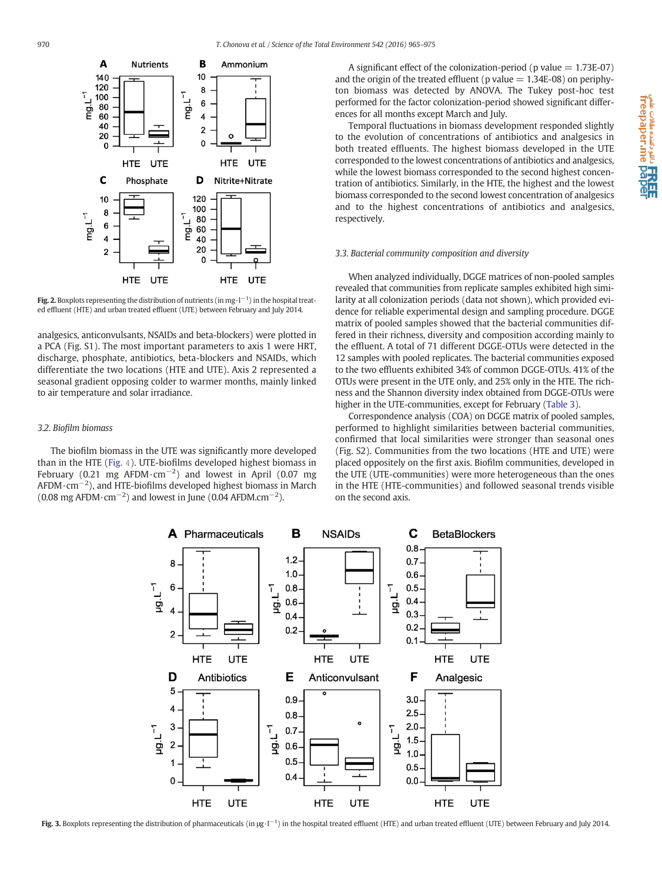<span id="page-5-0"></span>

**Fig. 2.** Boxplots representing the distribution of nutrients (in mg·l<sup>−1</sup>) in the hospital treated effluent (HTE) and urban treated effluent (UTE) between February and July 2014.

analgesics, anticonvulsants, NSAIDs and beta-blockers) were plotted in a PCA (Fig. S1). The most important parameters to axis 1 were HRT, discharge, phosphate, antibiotics, beta-blockers and NSAIDs, which differentiate the two locations (HTE and UTE). Axis 2 represented a seasonal gradient opposing colder to warmer months, mainly linked to air temperature and solar irradiance.

#### 3.2. Biofilm biomass

The biofilm biomass in the UTE was significantly more developed than in the HTE ([Fig.](#page-6-0) 4). UTE-biofilms developed highest biomass in February (0.21 mg AFDM $\cdot$ cm<sup>-2</sup>) and lowest in April (0.07 mg AFDM·cm−<sup>2</sup> ), and HTE-biofilms developed highest biomass in March  $(0.08 \text{ mg AFDM} \cdot \text{cm}^{-2})$  and lowest in June  $(0.04 \text{ AFDM} \cdot \text{cm}^{-2})$ .

A significant effect of the colonization-period ( $p$  value  $= 1.73E-07$ ) and the origin of the treated effluent (p value  $= 1.34E-08$ ) on periphyton biomass was detected by ANOVA. The Tukey post-hoc test performed for the factor colonization-period showed significant differences for all months except March and July.

Temporal fluctuations in biomass development responded slightly to the evolution of concentrations of antibiotics and analgesics in both treated effluents. The highest biomass developed in the UTE corresponded to the lowest concentrations of antibiotics and analgesics, while the lowest biomass corresponded to the second highest concentration of antibiotics. Similarly, in the HTE, the highest and the lowest biomass corresponded to the second lowest concentration of analgesics and to the highest concentrations of antibiotics and analgesics, respectively.

#### 3.3. Bacterial community composition and diversity

When analyzed individually, DGGE matrices of non-pooled samples revealed that communities from replicate samples exhibited high similarity at all colonization periods (data not shown), which provided evidence for reliable experimental design and sampling procedure. DGGE matrix of pooled samples showed that the bacterial communities differed in their richness, diversity and composition according mainly to the effluent. A total of 71 different DGGE-OTUs were detected in the 12 samples with pooled replicates. The bacterial communities exposed to the two effluents exhibited 34% of common DGGE-OTUs. 41% of the OTUs were present in the UTE only, and 25% only in the HTE. The richness and the Shannon diversity index obtained from DGGE-OTUs were higher in the UTE-communities, except for February ([Table 3](#page-6-0)).

Correspondence analysis (COA) on DGGE matrix of pooled samples, performed to highlight similarities between bacterial communities, confirmed that local similarities were stronger than seasonal ones (Fig. S2). Communities from the two locations (HTE and UTE) were placed oppositely on the first axis. Biofilm communities, developed in the UTE (UTE-communities) were more heterogeneous than the ones in the HTE (HTE-communities) and followed seasonal trends visible on the second axis.



Fig. 3. Boxplots representing the distribution of pharmaceuticals (in µg·l<sup>-1</sup>) in the hospital treated effluent (HTE) and urban treated effluent (UTE) between February and July 2014.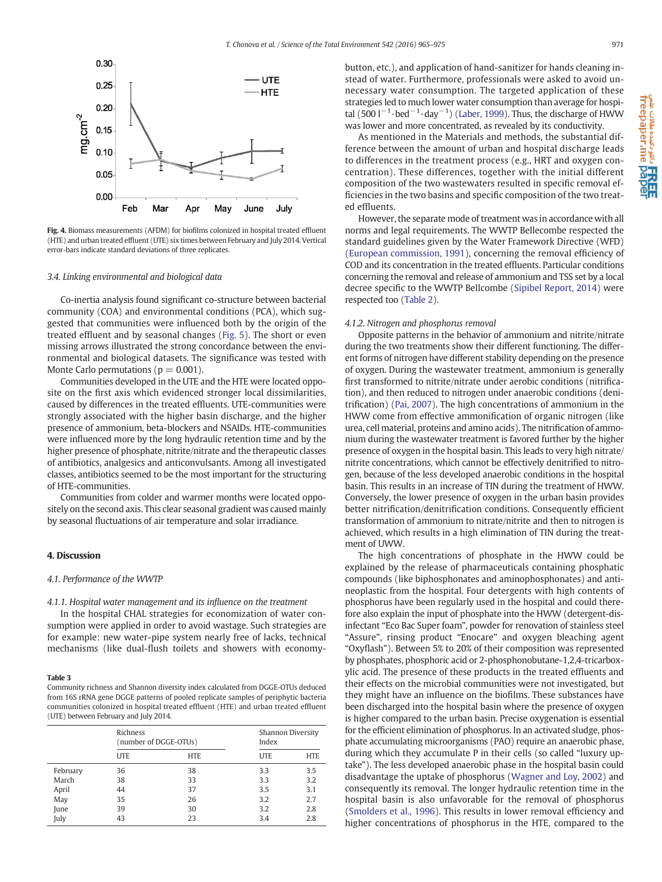<span id="page-6-0"></span>

Fig. 4. Biomass measurements (AFDM) for biofilms colonized in hospital treated effluent (HTE) and urban treated effluent (UTE) six times between February and July 2014. Vertical error-bars indicate standard deviations of three replicates.

#### 3.4. Linking environmental and biological data

Co-inertia analysis found significant co-structure between bacterial community (COA) and environmental conditions (PCA), which suggested that communities were influenced both by the origin of the treated effluent and by seasonal changes [\(Fig. 5\)](#page-7-0). The short or even missing arrows illustrated the strong concordance between the environmental and biological datasets. The significance was tested with Monte Carlo permutations ( $p = 0.001$ ).

Communities developed in the UTE and the HTE were located opposite on the first axis which evidenced stronger local dissimilarities, caused by differences in the treated effluents. UTE-communities were strongly associated with the higher basin discharge, and the higher presence of ammonium, beta-blockers and NSAIDs. HTE-communities were influenced more by the long hydraulic retention time and by the higher presence of phosphate, nitrite/nitrate and the therapeutic classes of antibiotics, analgesics and anticonvulsants. Among all investigated classes, antibiotics seemed to be the most important for the structuring of HTE-communities.

Communities from colder and warmer months were located oppositely on the second axis. This clear seasonal gradient was caused mainly by seasonal fluctuations of air temperature and solar irradiance.

## 4. Discussion

#### 4.1. Performance of the WWTP

#### 4.1.1. Hospital water management and its influence on the treatment

In the hospital CHAL strategies for economization of water consumption were applied in order to avoid wastage. Such strategies are for example: new water-pipe system nearly free of lacks, technical mechanisms (like dual-flush toilets and showers with economy-

#### Table 3

Community richness and Shannon diversity index calculated from DGGE-OTUs deduced from 16S rRNA gene DGGE patterns of pooled replicate samples of periphytic bacteria communities colonized in hospital treated effluent (HTE) and urban treated effluent (UTE) between February and July 2014.

|          | Richness<br>(number of DGGE-OTUs) |            | Shannon Diversity<br>Index |            |
|----------|-----------------------------------|------------|----------------------------|------------|
|          | <b>UTE</b>                        | <b>HTE</b> | <b>UTE</b>                 | <b>HTE</b> |
| February | 36                                | 38         | 3.3                        | 3.5        |
| March    | 38                                | 33         | 3.3                        | 3.2        |
| April    | 44                                | 37         | 3.5                        | 3.1        |
| May      | 35                                | 26         | 3.2                        | 2.7        |
| June     | 39                                | 30         | 3.2                        | 2.8        |
| July     | 43                                | 23         | 3.4                        | 2.8        |

button, etc.), and application of hand-sanitizer for hands cleaning instead of water. Furthermore, professionals were asked to avoid unnecessary water consumption. The targeted application of these strategies led to much lower water consumption than average for hospi-tal (500 l<sup>-1</sup>·bed<sup>-1</sup>·day<sup>-1</sup>) ([Laber, 1999](#page-9-0)). Thus, the discharge of HWW was lower and more concentrated, as revealed by its conductivity.

As mentioned in the Materials and methods, the substantial difference between the amount of urban and hospital discharge leads to differences in the treatment process (e.g., HRT and oxygen concentration). These differences, together with the initial different composition of the two wastewaters resulted in specific removal efficiencies in the two basins and specific composition of the two treated effluents.

However, the separate mode of treatment was in accordance with all norms and legal requirements. The WWTP Bellecombe respected the standard guidelines given by the Water Framework Directive (WFD) [\(European commission, 1991\)](#page-9-0), concerning the removal efficiency of COD and its concentration in the treated effluents. Particular conditions concerning the removal and release of ammonium and TSS set by a local decree specific to the WWTP Bellcombe ([Sipibel Report, 2014](#page-10-0)) were respected too [\(Table 2\)](#page-3-0).

#### 4.1.2. Nitrogen and phosphorus removal

Opposite patterns in the behavior of ammonium and nitrite/nitrate during the two treatments show their different functioning. The different forms of nitrogen have different stability depending on the presence of oxygen. During the wastewater treatment, ammonium is generally first transformed to nitrite/nitrate under aerobic conditions (nitrification), and then reduced to nitrogen under anaerobic conditions (denitrification) [\(Pai, 2007\)](#page-9-0). The high concentrations of ammonium in the HWW come from effective ammonification of organic nitrogen (like urea, cell material, proteins and amino acids). The nitrification of ammonium during the wastewater treatment is favored further by the higher presence of oxygen in the hospital basin. This leads to very high nitrate/ nitrite concentrations, which cannot be effectively denitrified to nitrogen, because of the less developed anaerobic conditions in the hospital basin. This results in an increase of TIN during the treatment of HWW. Conversely, the lower presence of oxygen in the urban basin provides better nitrification/denitrification conditions. Consequently efficient transformation of ammonium to nitrate/nitrite and then to nitrogen is achieved, which results in a high elimination of TIN during the treatment of UWW.

The high concentrations of phosphate in the HWW could be explained by the release of pharmaceuticals containing phosphatic compounds (like biphosphonates and aminophosphonates) and antineoplastic from the hospital. Four detergents with high contents of phosphorus have been regularly used in the hospital and could therefore also explain the input of phosphate into the HWW (detergent-disinfectant "Eco Bac Super foam", powder for renovation of stainless steel "Assure", rinsing product "Enocare" and oxygen bleaching agent "Oxyflash"). Between 5% to 20% of their composition was represented by phosphates, phosphoric acid or 2-phosphonobutane-1,2,4-tricarboxylic acid. The presence of these products in the treated effluents and their effects on the microbial communities were not investigated, but they might have an influence on the biofilms. These substances have been discharged into the hospital basin where the presence of oxygen is higher compared to the urban basin. Precise oxygenation is essential for the efficient elimination of phosphorus. In an activated sludge, phosphate accumulating microorganisms (PAO) require an anaerobic phase, during which they accumulate P in their cells (so called "luxury uptake"). The less developed anaerobic phase in the hospital basin could disadvantage the uptake of phosphorus [\(Wagner and Loy, 2002](#page-10-0)) and consequently its removal. The longer hydraulic retention time in the hospital basin is also unfavorable for the removal of phosphorus [\(Smolders et al., 1996\)](#page-10-0). This results in lower removal efficiency and higher concentrations of phosphorus in the HTE, compared to the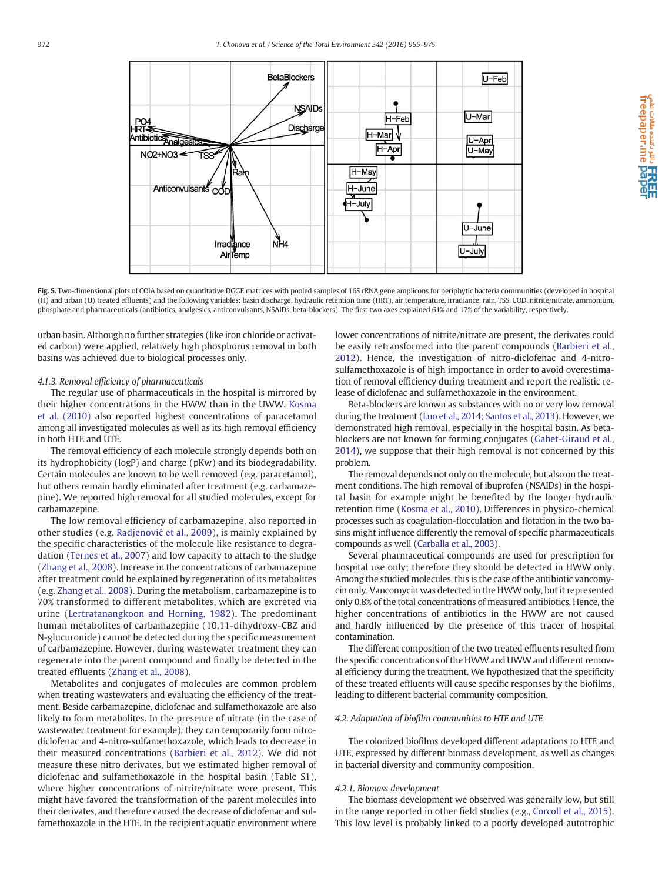<span id="page-7-0"></span>

e comper.me pape.<br>freepaper.me pape

Fig. 5. Two-dimensional plots of COIA based on quantitative DGGE matrices with pooled samples of 16S rRNA gene amplicons for periphytic bacteria communities (developed in hospital (H) and urban (U) treated effluents) and the following variables: basin discharge, hydraulic retention time (HRT), air temperature, irradiance, rain, TSS, COD, nitrite/nitrate, ammonium, phosphate and pharmaceuticals (antibiotics, analgesics, anticonvulsants, NSAIDs, beta-blockers). The first two axes explained 61% and 17% of the variability, respectively.

urban basin. Although no further strategies (like iron chloride or activated carbon) were applied, relatively high phosphorus removal in both basins was achieved due to biological processes only.

#### 4.1.3. Removal efficiency of pharmaceuticals

The regular use of pharmaceuticals in the hospital is mirrored by their higher concentrations in the HWW than in the UWW. [Kosma](#page-9-0) [et al. \(2010\)](#page-9-0) also reported highest concentrations of paracetamol among all investigated molecules as well as its high removal efficiency in both HTE and UTE.

The removal efficiency of each molecule strongly depends both on its hydrophobicity (logP) and charge (pKw) and its biodegradability. Certain molecules are known to be well removed (e.g. paracetamol), but others remain hardly eliminated after treatment (e.g. carbamazepine). We reported high removal for all studied molecules, except for carbamazepine.

The low removal efficiency of carbamazepine, also reported in other studies (e.g. Radjenović [et al., 2009\)](#page-9-0), is mainly explained by the specific characteristics of the molecule like resistance to degradation [\(Ternes et al., 2007\)](#page-10-0) and low capacity to attach to the sludge [\(Zhang et al., 2008](#page-10-0)). Increase in the concentrations of carbamazepine after treatment could be explained by regeneration of its metabolites (e.g. [Zhang et al., 2008\)](#page-10-0). During the metabolism, carbamazepine is to 70% transformed to different metabolites, which are excreted via urine ([Lertratanangkoon and Horning, 1982\)](#page-9-0). The predominant human metabolites of carbamazepine (10,11-dihydroxy-CBZ and N-glucuronide) cannot be detected during the specific measurement of carbamazepine. However, during wastewater treatment they can regenerate into the parent compound and finally be detected in the treated effluents ([Zhang et al., 2008](#page-10-0)).

Metabolites and conjugates of molecules are common problem when treating wastewaters and evaluating the efficiency of the treatment. Beside carbamazepine, diclofenac and sulfamethoxazole are also likely to form metabolites. In the presence of nitrate (in the case of wastewater treatment for example), they can temporarily form nitrodiclofenac and 4-nitro-sulfamethoxazole, which leads to decrease in their measured concentrations ([Barbieri et al., 2012\)](#page-9-0). We did not measure these nitro derivates, but we estimated higher removal of diclofenac and sulfamethoxazole in the hospital basin (Table S1), where higher concentrations of nitrite/nitrate were present. This might have favored the transformation of the parent molecules into their derivates, and therefore caused the decrease of diclofenac and sulfamethoxazole in the HTE. In the recipient aquatic environment where

lower concentrations of nitrite/nitrate are present, the derivates could be easily retransformed into the parent compounds ([Barbieri et al.,](#page-9-0) [2012](#page-9-0)). Hence, the investigation of nitro-diclofenac and 4-nitrosulfamethoxazole is of high importance in order to avoid overestimation of removal efficiency during treatment and report the realistic release of diclofenac and sulfamethoxazole in the environment.

Beta-blockers are known as substances with no or very low removal during the treatment ([Luo et al., 2014; Santos et al., 2013\)](#page-9-0). However, we demonstrated high removal, especially in the hospital basin. As betablockers are not known for forming conjugates [\(Gabet-Giraud et al.,](#page-9-0) [2014](#page-9-0)), we suppose that their high removal is not concerned by this problem.

The removal depends not only on the molecule, but also on the treatment conditions. The high removal of ibuprofen (NSAIDs) in the hospital basin for example might be benefited by the longer hydraulic retention time ([Kosma et al., 2010](#page-9-0)). Differences in physico-chemical processes such as coagulation-flocculation and flotation in the two basins might influence differently the removal of specific pharmaceuticals compounds as well ([Carballa et al., 2003\)](#page-9-0).

Several pharmaceutical compounds are used for prescription for hospital use only; therefore they should be detected in HWW only. Among the studied molecules, this is the case of the antibiotic vancomycin only. Vancomycin was detected in the HWW only, but it represented only 0.8% of the total concentrations of measured antibiotics. Hence, the higher concentrations of antibiotics in the HWW are not caused and hardly influenced by the presence of this tracer of hospital contamination.

The different composition of the two treated effluents resulted from the specific concentrations of the HWW and UWW and different removal efficiency during the treatment. We hypothesized that the specificity of these treated effluents will cause specific responses by the biofilms, leading to different bacterial community composition.

#### 4.2. Adaptation of biofilm communities to HTE and UTE

The colonized biofilms developed different adaptations to HTE and UTE, expressed by different biomass development, as well as changes in bacterial diversity and community composition.

#### 4.2.1. Biomass development

The biomass development we observed was generally low, but still in the range reported in other field studies (e.g., [Corcoll et al., 2015](#page-9-0)). This low level is probably linked to a poorly developed autotrophic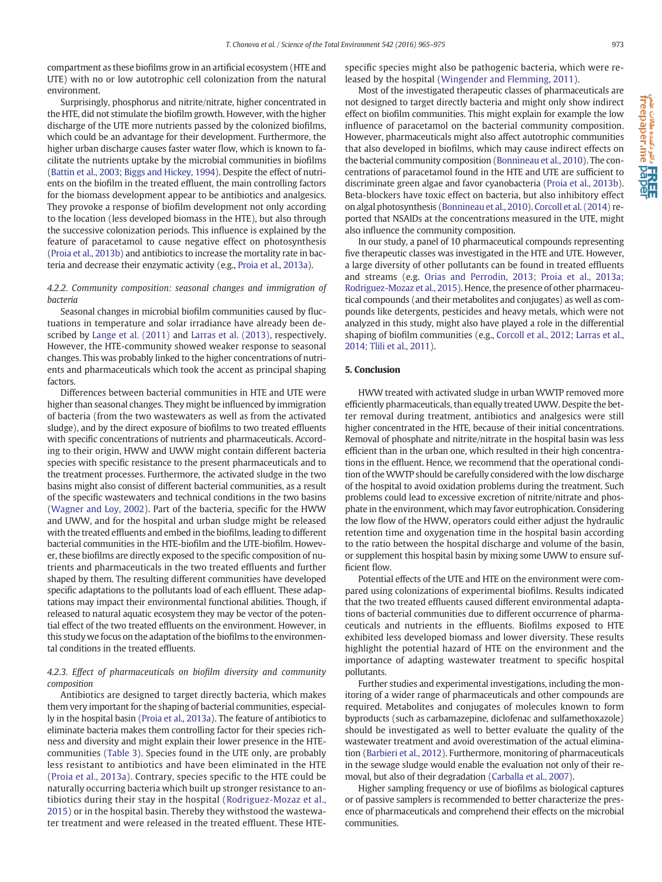compartment as these biofilms grow in an artificial ecosystem (HTE and UTE) with no or low autotrophic cell colonization from the natural environment.

Surprisingly, phosphorus and nitrite/nitrate, higher concentrated in the HTE, did not stimulate the biofilm growth. However, with the higher discharge of the UTE more nutrients passed by the colonized biofilms, which could be an advantage for their development. Furthermore, the higher urban discharge causes faster water flow, which is known to facilitate the nutrients uptake by the microbial communities in biofilms [\(Battin et al., 2003; Biggs and Hickey, 1994](#page-9-0)). Despite the effect of nutrients on the biofilm in the treated effluent, the main controlling factors for the biomass development appear to be antibiotics and analgesics. They provoke a response of biofilm development not only according to the location (less developed biomass in the HTE), but also through the successive colonization periods. This influence is explained by the feature of paracetamol to cause negative effect on photosynthesis [\(Proia et al., 2013b\)](#page-9-0) and antibiotics to increase the mortality rate in bacteria and decrease their enzymatic activity (e.g., [Proia et al., 2013a\)](#page-9-0).

# 4.2.2. Community composition: seasonal changes and immigration of bacteria

Seasonal changes in microbial biofilm communities caused by fluctuations in temperature and solar irradiance have already been described by [Lange et al. \(2011\)](#page-9-0) and [Larras et al. \(2013\),](#page-9-0) respectively. However, the HTE-community showed weaker response to seasonal changes. This was probably linked to the higher concentrations of nutrients and pharmaceuticals which took the accent as principal shaping factors.

Differences between bacterial communities in HTE and UTE were higher than seasonal changes. They might be influenced by immigration of bacteria (from the two wastewaters as well as from the activated sludge), and by the direct exposure of biofilms to two treated effluents with specific concentrations of nutrients and pharmaceuticals. According to their origin, HWW and UWW might contain different bacteria species with specific resistance to the present pharmaceuticals and to the treatment processes. Furthermore, the activated sludge in the two basins might also consist of different bacterial communities, as a result of the specific wastewaters and technical conditions in the two basins [\(Wagner and Loy, 2002\)](#page-10-0). Part of the bacteria, specific for the HWW and UWW, and for the hospital and urban sludge might be released with the treated effluents and embed in the biofilms, leading to different bacterial communities in the HTE-biofilm and the UTE-biofilm. However, these biofilms are directly exposed to the specific composition of nutrients and pharmaceuticals in the two treated effluents and further shaped by them. The resulting different communities have developed specific adaptations to the pollutants load of each effluent. These adaptations may impact their environmental functional abilities. Though, if released to natural aquatic ecosystem they may be vector of the potential effect of the two treated effluents on the environment. However, in this study we focus on the adaptation of the biofilms to the environmental conditions in the treated effluents.

# 4.2.3. Effect of pharmaceuticals on biofilm diversity and community composition

Antibiotics are designed to target directly bacteria, which makes them very important for the shaping of bacterial communities, especially in the hospital basin ([Proia et al., 2013a\)](#page-9-0). The feature of antibiotics to eliminate bacteria makes them controlling factor for their species richness and diversity and might explain their lower presence in the HTEcommunities ([Table 3\)](#page-6-0). Species found in the UTE only, are probably less resistant to antibiotics and have been eliminated in the HTE [\(Proia et al., 2013a\)](#page-9-0). Contrary, species specific to the HTE could be naturally occurring bacteria which built up stronger resistance to antibiotics during their stay in the hospital ([Rodriguez-Mozaz et al.,](#page-9-0) [2015](#page-9-0)) or in the hospital basin. Thereby they withstood the wastewater treatment and were released in the treated effluent. These HTE- specific species might also be pathogenic bacteria, which were released by the hospital ([Wingender and Flemming, 2011\)](#page-10-0).

Most of the investigated therapeutic classes of pharmaceuticals are not designed to target directly bacteria and might only show indirect effect on biofilm communities. This might explain for example the low influence of paracetamol on the bacterial community composition. However, pharmaceuticals might also affect autotrophic communities that also developed in biofilms, which may cause indirect effects on the bacterial community composition [\(Bonnineau et al., 2010](#page-9-0)). The concentrations of paracetamol found in the HTE and UTE are sufficient to discriminate green algae and favor cyanobacteria [\(Proia et al., 2013b](#page-9-0)). Beta-blockers have toxic effect on bacteria, but also inhibitory effect on algal photosynthesis ([Bonnineau et al., 2010\)](#page-9-0). [Corcoll et al. \(2014\)](#page-9-0) reported that NSAIDs at the concentrations measured in the UTE, might also influence the community composition.

In our study, a panel of 10 pharmaceutical compounds representing five therapeutic classes was investigated in the HTE and UTE. However, a large diversity of other pollutants can be found in treated effluents and streams (e.g. [Orias and Perrodin, 2013; Proia et al., 2013a;](#page-9-0) [Rodriguez-Mozaz et al., 2015](#page-9-0)). Hence, the presence of other pharmaceutical compounds (and their metabolites and conjugates) as well as compounds like detergents, pesticides and heavy metals, which were not analyzed in this study, might also have played a role in the differential shaping of biofilm communities (e.g., [Corcoll et al., 2012; Larras et al.,](#page-9-0) [2014; Tlili et al., 2011\)](#page-9-0).

### 5. Conclusion

HWW treated with activated sludge in urban WWTP removed more efficiently pharmaceuticals, than equally treated UWW. Despite the better removal during treatment, antibiotics and analgesics were still higher concentrated in the HTE, because of their initial concentrations. Removal of phosphate and nitrite/nitrate in the hospital basin was less efficient than in the urban one, which resulted in their high concentrations in the effluent. Hence, we recommend that the operational condition of theWWTP should be carefully considered with the low discharge of the hospital to avoid oxidation problems during the treatment. Such problems could lead to excessive excretion of nitrite/nitrate and phosphate in the environment, which may favor eutrophication. Considering the low flow of the HWW, operators could either adjust the hydraulic retention time and oxygenation time in the hospital basin according to the ratio between the hospital discharge and volume of the basin, or supplement this hospital basin by mixing some UWW to ensure sufficient flow.

Potential effects of the UTE and HTE on the environment were compared using colonizations of experimental biofilms. Results indicated that the two treated effluents caused different environmental adaptations of bacterial communities due to different occurrence of pharmaceuticals and nutrients in the effluents. Biofilms exposed to HTE exhibited less developed biomass and lower diversity. These results highlight the potential hazard of HTE on the environment and the importance of adapting wastewater treatment to specific hospital pollutants.

Further studies and experimental investigations, including the monitoring of a wider range of pharmaceuticals and other compounds are required. Metabolites and conjugates of molecules known to form byproducts (such as carbamazepine, diclofenac and sulfamethoxazole) should be investigated as well to better evaluate the quality of the wastewater treatment and avoid overestimation of the actual elimination ([Barbieri et al., 2012](#page-9-0)). Furthermore, monitoring of pharmaceuticals in the sewage sludge would enable the evaluation not only of their removal, but also of their degradation ([Carballa et al., 2007\)](#page-9-0).

Higher sampling frequency or use of biofilms as biological captures or of passive samplers is recommended to better characterize the presence of pharmaceuticals and comprehend their effects on the microbial communities.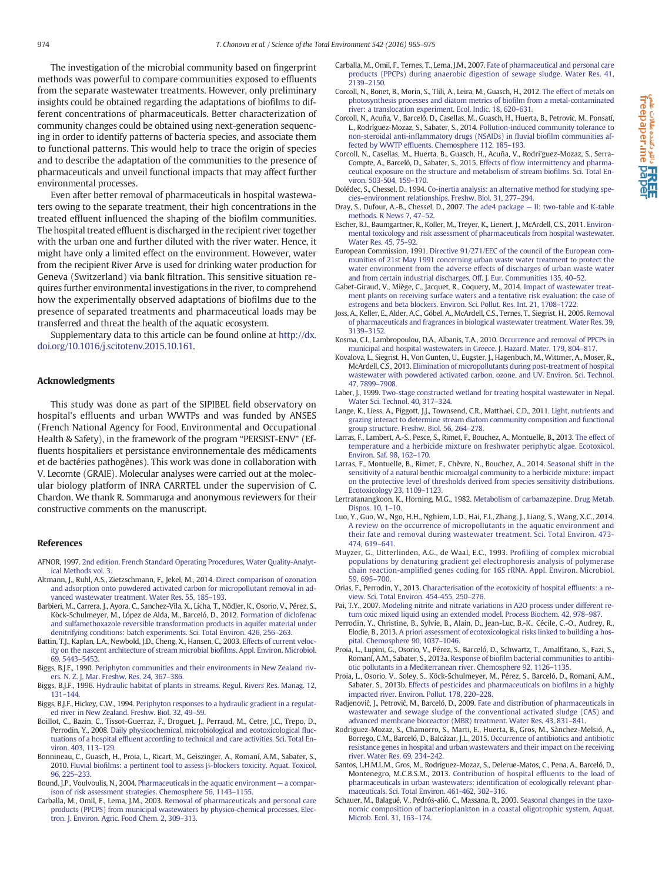<span id="page-9-0"></span>The investigation of the microbial community based on fingerprint methods was powerful to compare communities exposed to effluents from the separate wastewater treatments. However, only preliminary insights could be obtained regarding the adaptations of biofilms to different concentrations of pharmaceuticals. Better characterization of community changes could be obtained using next-generation sequencing in order to identify patterns of bacteria species, and associate them to functional patterns. This would help to trace the origin of species and to describe the adaptation of the communities to the presence of pharmaceuticals and unveil functional impacts that may affect further environmental processes.

Even after better removal of pharmaceuticals in hospital wastewaters owing to the separate treatment, their high concentrations in the treated effluent influenced the shaping of the biofilm communities. The hospital treated effluent is discharged in the recipient river together with the urban one and further diluted with the river water. Hence, it might have only a limited effect on the environment. However, water from the recipient River Arve is used for drinking water production for Geneva (Switzerland) via bank filtration. This sensitive situation requires further environmental investigations in the river, to comprehend how the experimentally observed adaptations of biofilms due to the presence of separated treatments and pharmaceutical loads may be transferred and threat the health of the aquatic ecosystem.

Supplementary data to this article can be found online at [http://dx.](http://dx.doi.org/10.1016/j.scitotenv.2015.10.161) [doi.org/10.1016/j.scitotenv.2015.10.161.](http://dx.doi.org/10.1016/j.scitotenv.2015.10.161)

#### Acknowledgments

This study was done as part of the SIPIBEL field observatory on hospital's effluents and urban WWTPs and was funded by ANSES (French National Agency for Food, Environmental and Occupational Health & Safety), in the framework of the program "PERSIST-ENV" (Effluents hospitaliers et persistance environnementale des médicaments et de bactéries pathogènes). This work was done in collaboration with V. Lecomte (GRAIE). Molecular analyses were carried out at the molecular biology platform of INRA CARRTEL under the supervision of C. Chardon. We thank R. Sommaruga and anonymous reviewers for their constructive comments on the manuscript.

#### References

- AFNOR, 1997. [2nd edition. French Standard Operating Procedures, Water Quality-Analyt](http://refhub.elsevier.com/S0048-9697(15)30977-3/rf0005)[ical Methods vol. 3](http://refhub.elsevier.com/S0048-9697(15)30977-3/rf0005).
- Altmann, J., Ruhl, A.S., Zietzschmann, F., Jekel, M., 2014. [Direct comparison of ozonation](http://refhub.elsevier.com/S0048-9697(15)30977-3/rf0010) [and adsorption onto powdered activated carbon for micropollutant removal in ad](http://refhub.elsevier.com/S0048-9697(15)30977-3/rf0010)[vanced wastewater treatment. Water Res. 55, 185](http://refhub.elsevier.com/S0048-9697(15)30977-3/rf0010)–193.
- Barbieri, M., Carrera, J., Ayora, C., Sanchez-Vila, X., Licha, T., Nödler, K., Osorio, V., Pérez, S., Köck-Schulmeyer, M., López de Alda, M., Barceló, D., 2012. [Formation of diclofenac](http://refhub.elsevier.com/S0048-9697(15)30977-3/rf0015) [and sulfamethoxazole reversible transformation products in aquifer material under](http://refhub.elsevier.com/S0048-9697(15)30977-3/rf0015) [denitrifying conditions: batch experiments. Sci. Total Environ. 426, 256](http://refhub.elsevier.com/S0048-9697(15)30977-3/rf0015)–263.
- Battin, T.J., Kaplan, L.A., Newbold, J.D., Cheng, X., Hansen, C., 2003. [Effects of current veloc](http://refhub.elsevier.com/S0048-9697(15)30977-3/rf0020)[ity on the nascent architecture of stream microbial bio](http://refhub.elsevier.com/S0048-9697(15)30977-3/rf0020)films. Appl. Environ. Microbiol. [69, 5443](http://refhub.elsevier.com/S0048-9697(15)30977-3/rf0020)–5452.
- Biggs, B.J.F., 1990. [Periphyton communities and their environments in New Zealand riv](http://refhub.elsevier.com/S0048-9697(15)30977-3/rf0025)[ers. N. Z. J. Mar. Freshw. Res. 24, 367](http://refhub.elsevier.com/S0048-9697(15)30977-3/rf0025)–386.
- Biggs, B.J.F., 1996. [Hydraulic habitat of plants in streams. Regul. Rivers Res. Manag. 12,](http://refhub.elsevier.com/S0048-9697(15)30977-3/rf0030) 131–[144.](http://refhub.elsevier.com/S0048-9697(15)30977-3/rf0030)
- Biggs, B.J.F., Hickey, C.W., 1994. [Periphyton responses to a hydraulic gradient in a regulat](http://refhub.elsevier.com/S0048-9697(15)30977-3/rf0035)[ed river in New Zealand. Freshw. Biol. 32, 49](http://refhub.elsevier.com/S0048-9697(15)30977-3/rf0035)–59.
- Boillot, C., Bazin, C., Tissot-Guerraz, F., Droguet, J., Perraud, M., Cetre, J.C., Trepo, D., Perrodin, Y., 2008. [Daily physicochemical, microbiological and ecotoxicological](http://refhub.elsevier.com/S0048-9697(15)30977-3/rf0040) fluctuations of a hospital effl[uent according to technical and care activities. Sci. Total En](http://refhub.elsevier.com/S0048-9697(15)30977-3/rf0040)[viron. 403, 113](http://refhub.elsevier.com/S0048-9697(15)30977-3/rf0040)–129.
- Bonnineau, C., Guasch, H., Proia, L., Ricart, M., Geiszinger, A., Romaní, A.M., Sabater, S., 2010. Fluvial biofilms: a pertinent tool to assess β[-blockers toxicity. Aquat. Toxicol.](http://refhub.elsevier.com/S0048-9697(15)30977-3/rf0045) [96, 225](http://refhub.elsevier.com/S0048-9697(15)30977-3/rf0045)–233.
- Bound, J.P., Voulvoulis, N., 2004. [Pharmaceuticals in the aquatic environment](http://refhub.elsevier.com/S0048-9697(15)30977-3/rf0050) a compar[ison of risk assessment strategies. Chemosphere 56, 1143](http://refhub.elsevier.com/S0048-9697(15)30977-3/rf0050)–1155.
- Carballa, M., Omil, F., Lema, J.M., 2003. [Removal of pharmaceuticals and personal care](http://refhub.elsevier.com/S0048-9697(15)30977-3/rf0055) [products \(PPCPS\) from municipal wastewaters by physico-chemical processes. Elec](http://refhub.elsevier.com/S0048-9697(15)30977-3/rf0055)[tron. J. Environ. Agric. Food Chem. 2, 309](http://refhub.elsevier.com/S0048-9697(15)30977-3/rf0055)–313.
- Carballa, M., Omil, F., Ternes, T., Lema, J.M., 2007. [Fate of pharmaceutical and personal care](http://refhub.elsevier.com/S0048-9697(15)30977-3/rf0060) [products \(PPCPs\) during anaerobic digestion of sewage sludge. Water Res. 41,](http://refhub.elsevier.com/S0048-9697(15)30977-3/rf0060) 2139–[2150.](http://refhub.elsevier.com/S0048-9697(15)30977-3/rf0060)
- Corcoll, N., Bonet, B., Morin, S., Tlili, A., Leira, M., Guasch, H., 2012. [The effect of metals on](http://refhub.elsevier.com/S0048-9697(15)30977-3/rf0065) [photosynthesis processes and diatom metrics of bio](http://refhub.elsevier.com/S0048-9697(15)30977-3/rf0065)film from a metal-contaminated [river: a translocation experiment. Ecol. Indic. 18, 620](http://refhub.elsevier.com/S0048-9697(15)30977-3/rf0065)–631.
- Corcoll, N., Acuña, V., Barceló, D., Casellas, M., Guasch, H., Huerta, B., Petrovic, M., Ponsatí, L., Rodríguez-Mozaz, S., Sabater, S., 2014. [Pollution-induced community tolerance to](http://refhub.elsevier.com/S0048-9697(15)30977-3/rf0070) non-steroidal anti-infl[ammatory drugs \(NSAIDs\) in](http://refhub.elsevier.com/S0048-9697(15)30977-3/rf0070) fluvial biofilm communities affected by WWTP effl[uents. Chemosphere 112, 185](http://refhub.elsevier.com/S0048-9697(15)30977-3/rf0070)–193.
- Corcoll, N., Casellas, M., Huerta, B., Guasch, H., Acuña, V., Rodri'guez-Mozaz, S., Serra-Compte, A., Barceló, D., Sabater, S., 2015. Effects of fl[ow intermittency and pharma](http://refhub.elsevier.com/S0048-9697(15)30977-3/rf0075)[ceutical exposure on the structure and metabolism of stream bio](http://refhub.elsevier.com/S0048-9697(15)30977-3/rf0075)films. Sci. Total En[viron. 503-504, 159](http://refhub.elsevier.com/S0048-9697(15)30977-3/rf0075)–170.
- Dolédec, S., Chessel, D., 1994. [Co-inertia analysis: an alternative method for studying spe](http://refhub.elsevier.com/S0048-9697(15)30977-3/rf0080)cies–[environment relationships. Freshw. Biol. 31, 277](http://refhub.elsevier.com/S0048-9697(15)30977-3/rf0080)–294.
- Dray, S., Dufour, A.-B., Chessel, D., 2007. The ade4 package [II: two-table and K-table](http://refhub.elsevier.com/S0048-9697(15)30977-3/rf0085) [methods. R News 7, 47](http://refhub.elsevier.com/S0048-9697(15)30977-3/rf0085)–52.
- Escher, B.I., Baumgartner, R., Koller, M., Treyer, K., Lienert, J., McArdell, C.S., 2011. [Environ](http://refhub.elsevier.com/S0048-9697(15)30977-3/rf0090)[mental toxicology and risk assessment of pharmaceuticals from hospital wastewater.](http://refhub.elsevier.com/S0048-9697(15)30977-3/rf0090) [Water Res. 45, 75](http://refhub.elsevier.com/S0048-9697(15)30977-3/rf0090)–92.
- European Commission, 1991. [Directive 91/271/EEC of the council of the European com](http://refhub.elsevier.com/S0048-9697(15)30977-3/rf0095)[munities of 21st May 1991 concerning urban waste water treatment to protect the](http://refhub.elsevier.com/S0048-9697(15)30977-3/rf0095) [water environment from the adverse effects of discharges of urban waste water](http://refhub.elsevier.com/S0048-9697(15)30977-3/rf0095) [and from certain industrial discharges. Off. J. Eur. Communities 135, 40](http://refhub.elsevier.com/S0048-9697(15)30977-3/rf0095)–52.
- Gabet-Giraud, V., Miège, C., Jacquet, R., Coquery, M., 2014. [Impact of wastewater treat](http://refhub.elsevier.com/S0048-9697(15)30977-3/rf0100)[ment plants on receiving surface waters and a tentative risk evaluation: the case of](http://refhub.elsevier.com/S0048-9697(15)30977-3/rf0100) [estrogens and beta blockers. Environ. Sci. Pollut. Res. Int. 21, 1708](http://refhub.elsevier.com/S0048-9697(15)30977-3/rf0100)–1722.
- Joss, A., Keller, E., Alder, A.C., Göbel, A., McArdell, C.S., Ternes, T., Siegrist, H., 2005. [Removal](http://refhub.elsevier.com/S0048-9697(15)30977-3/rf0105) [of pharmaceuticals and fragrances in biological wastewater treatment. Water Res. 39,](http://refhub.elsevier.com/S0048-9697(15)30977-3/rf0105) 3139–[3152.](http://refhub.elsevier.com/S0048-9697(15)30977-3/rf0105)
- Kosma, C.I., Lambropoulou, D.A., Albanis, T.A., 2010. [Occurrence and removal of PPCPs in](http://refhub.elsevier.com/S0048-9697(15)30977-3/rf0110) [municipal and hospital wastewaters in Greece. J. Hazard. Mater. 179, 804](http://refhub.elsevier.com/S0048-9697(15)30977-3/rf0110)–817.
- Kovalova, L., Siegrist, H., Von Gunten, U., Eugster, J., Hagenbuch, M., Wittmer, A., Moser, R., McArdell, C.S., 2013. [Elimination of micropollutants during post-treatment of hospital](http://refhub.elsevier.com/S0048-9697(15)30977-3/rf0115) [wastewater with powdered activated carbon, ozone, and UV. Environ. Sci. Technol.](http://refhub.elsevier.com/S0048-9697(15)30977-3/rf0115) [47, 7899](http://refhub.elsevier.com/S0048-9697(15)30977-3/rf0115)–7908.
- Laber, J., 1999. [Two-stage constructed wetland for treating hospital wastewater in Nepal.](http://refhub.elsevier.com/S0048-9697(15)30977-3/rf0120) [Water Sci. Technol. 40, 317](http://refhub.elsevier.com/S0048-9697(15)30977-3/rf0120)–324.
- Lange, K., Liess, A., Piggott, J.J., Townsend, C.R., Matthaei, C.D., 2011. [Light, nutrients and](http://refhub.elsevier.com/S0048-9697(15)30977-3/rf0125) [grazing interact to determine stream diatom community composition and functional](http://refhub.elsevier.com/S0048-9697(15)30977-3/rf0125) [group structure. Freshw. Biol. 56, 264](http://refhub.elsevier.com/S0048-9697(15)30977-3/rf0125)–278.
- Larras, F., Lambert, A.-S., Pesce, S., Rimet, F., Bouchez, A., Montuelle, B., 2013. [The effect of](http://refhub.elsevier.com/S0048-9697(15)30977-3/rf0130) [temperature and a herbicide mixture on freshwater periphytic algae. Ecotoxicol.](http://refhub.elsevier.com/S0048-9697(15)30977-3/rf0130) [Environ. Saf. 98, 162](http://refhub.elsevier.com/S0048-9697(15)30977-3/rf0130)–170.
- Larras, F., Montuelle, B., Rimet, F., Chèvre, N., Bouchez, A., 2014. [Seasonal shift in the](http://refhub.elsevier.com/S0048-9697(15)30977-3/rf0135) [sensitivity of a natural benthic microalgal community to a herbicide mixture: impact](http://refhub.elsevier.com/S0048-9697(15)30977-3/rf0135) [on the protective level of thresholds derived from species sensitivity distributions.](http://refhub.elsevier.com/S0048-9697(15)30977-3/rf0135) [Ecotoxicology 23, 1109](http://refhub.elsevier.com/S0048-9697(15)30977-3/rf0135)–1123.
- Lertratanangkoon, K., Horning, M.G., 1982. [Metabolism of carbamazepine. Drug Metab.](http://refhub.elsevier.com/S0048-9697(15)30977-3/rf0140) [Dispos. 10, 1](http://refhub.elsevier.com/S0048-9697(15)30977-3/rf0140)–10.
- Luo, Y., Guo, W., Ngo, H.H., Nghiem, L.D., Hai, F.I., Zhang, J., Liang, S., Wang, X.C., 2014. [A review on the occurrence of micropollutants in the aquatic environment and](http://refhub.elsevier.com/S0048-9697(15)30977-3/rf0145) [their fate and removal during wastewater treatment. Sci. Total Environ. 473-](http://refhub.elsevier.com/S0048-9697(15)30977-3/rf0145) [474, 619](http://refhub.elsevier.com/S0048-9697(15)30977-3/rf0145)–641.
- Muyzer, G., Uitterlinden, A.G., de Waal, E.C., 1993. Profi[ling of complex microbial](http://refhub.elsevier.com/S0048-9697(15)30977-3/rf0150) [populations by denaturing gradient gel electrophoresis analysis of polymerase](http://refhub.elsevier.com/S0048-9697(15)30977-3/rf0150) chain reaction-amplifi[ed genes coding for 16S rRNA.](http://refhub.elsevier.com/S0048-9697(15)30977-3/rf0150) Appl. Environ. Microbiol. [59, 695](http://refhub.elsevier.com/S0048-9697(15)30977-3/rf0150)–700.
- Orias, F., Perrodin, Y., 2013. [Characterisation of the ecotoxicity of hospital ef](http://refhub.elsevier.com/S0048-9697(15)30977-3/rf0155)fluents: a re[view. Sci. Total Environ. 454-455, 250](http://refhub.elsevier.com/S0048-9697(15)30977-3/rf0155)–276.
- Pai, T.Y., 2007. [Modeling nitrite and nitrate variations in A2O process under different re](http://refhub.elsevier.com/S0048-9697(15)30977-3/rf0160)[turn oxic mixed liquid using an extended model. Process Biochem. 42, 978](http://refhub.elsevier.com/S0048-9697(15)30977-3/rf0160)–987.
- Perrodin, Y., Christine, B., Sylvie, B., Alain, D., Jean-Luc, B.-K., Cécile, C.-O., Audrey, R., Elodie, B., 2013. [A priori assessment of ecotoxicological risks linked to building a hos](http://refhub.elsevier.com/S0048-9697(15)30977-3/rf0165)[pital. Chemosphere 90, 1037](http://refhub.elsevier.com/S0048-9697(15)30977-3/rf0165)–1046.
- Proia, L., Lupini, G., Osorio, V., Pérez, S., Barceló, D., Schwartz, T., Amalfitano, S., Fazi, S., Romaní, A.M., Sabater, S., 2013a. Response of biofi[lm bacterial communities to antibi](http://refhub.elsevier.com/S0048-9697(15)30977-3/rf0170)[otic pollutants in a Mediterranean river. Chemosphere 92, 1126](http://refhub.elsevier.com/S0048-9697(15)30977-3/rf0170)–1135.
- Proia, L., Osorio, V., Soley, S., Köck-Schulmeyer, M., Pérez, S., Barceló, D., Romaní, A.M., Sabater, S., 2013b. [Effects of pesticides and pharmaceuticals on bio](http://refhub.elsevier.com/S0048-9697(15)30977-3/rf0175)films in a highly [impacted river. Environ. Pollut. 178, 220](http://refhub.elsevier.com/S0048-9697(15)30977-3/rf0175)–228.
- Radjenović, J., Petrović, M., Barceló, D., 2009. [Fate and distribution of pharmaceuticals in](http://refhub.elsevier.com/S0048-9697(15)30977-3/rf0180) [wastewater and sewage sludge of the conventional activated sludge \(CAS\) and](http://refhub.elsevier.com/S0048-9697(15)30977-3/rf0180) [advanced membrane bioreactor \(MBR\) treatment. Water Res. 43, 831](http://refhub.elsevier.com/S0048-9697(15)30977-3/rf0180)–841.
- Rodriguez-Mozaz, S., Chamorro, S., Marti, E., Huerta, B., Gros, M., Sànchez-Melsió, A., Borrego, C.M., Barceló, D., Balcázar, J.L., 2015. [Occurrence of antibiotics and antibiotic](http://refhub.elsevier.com/S0048-9697(15)30977-3/rf0185) [resistance genes in hospital and urban wastewaters and their impact on the receiving](http://refhub.elsevier.com/S0048-9697(15)30977-3/rf0185) [river. Water Res. 69, 234](http://refhub.elsevier.com/S0048-9697(15)30977-3/rf0185)–242.
- Santos, L.H.M.L.M., Gros, M., Rodriguez-Mozaz, S., Delerue-Matos, C., Pena, A., Barceló, D., Montenegro, M.C.B.S.M., 2013. [Contribution of hospital ef](http://refhub.elsevier.com/S0048-9697(15)30977-3/rf0190)fluents to the load of [pharmaceuticals in urban wastewaters: identi](http://refhub.elsevier.com/S0048-9697(15)30977-3/rf0190)fication of ecologically relevant phar[maceuticals. Sci. Total Environ. 461-462, 302](http://refhub.elsevier.com/S0048-9697(15)30977-3/rf0190)–316.
- Schauer, M., Balagué, V., Pedrós-alió, C., Massana, R., 2003. [Seasonal changes in the taxo](http://refhub.elsevier.com/S0048-9697(15)30977-3/rf0195)[nomic composition of bacterioplankton in a coastal oligotrophic system. Aquat.](http://refhub.elsevier.com/S0048-9697(15)30977-3/rf0195) [Microb. Ecol. 31, 163](http://refhub.elsevier.com/S0048-9697(15)30977-3/rf0195)–174.